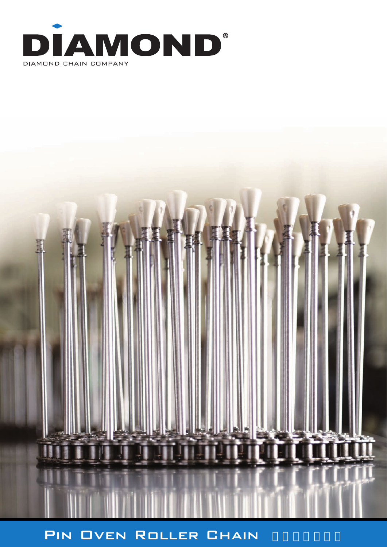



# PIN OVEN ROLLER CHAIN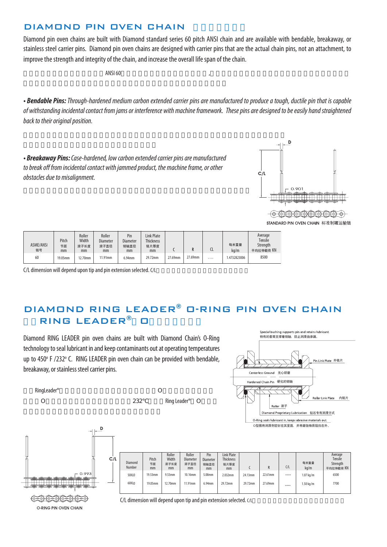### DIAMOND PIN OVEN CHAIN

Diamond pin oven chains are built with Diamond standard series 60 pitch ANSI chain and are available with bendable, breakaway, or stainless steel carrier pins. Diamond pin oven chains are designed with carrier pins that are the actual chain pins, not an attachment, to improve the strength and integrity of the chain, and increase the overall life span of the chain.

 $\blacksquare$  ANSI 60

*• Bendable Pins: Through-hardened medium carbon extended carrier pins are manufactured to produce a tough, ductile pin that is capable of withstanding incidental contact from jams or interference with machine framework. These pins are designed to be easily hand straightened back to their original position.*

*• Breakaway Pins: Case-hardened, low carbon extended carrier pins are manufactured to break off from incidental contact with jammed product, the machine frame, or other obstacles due to misalignment.*



 $\circ$   $\circ$   $\circ$   $\circ$   $\circ$   $\circ$   $\circ$ 

STANDARD PIN OVEN CHAIN 标准制罐运输链

| ASME/ANSI<br>链号 | Pitch<br>节距<br>mm | Roller<br>Width<br>滚子长度<br>mm | Roller<br><b>Diameter</b><br>滚子直径<br>mm | Pin<br>Diameter<br>销轴直径<br>mm | <b>Link Plate</b><br><b>Thickness</b><br>链片厚度<br>mm |         |         |   | 每米重量<br>ka/m | Average<br>Tensile<br>Strength<br>平均拉伸载荷 KN |
|-----------------|-------------------|-------------------------------|-----------------------------------------|-------------------------------|-----------------------------------------------------|---------|---------|---|--------------|---------------------------------------------|
| 60              | 19.05mm           | '2.70mm                       | 11.91mm                                 | 6.94mm                        | 29.72mm                                             | 27.69mm | 27.69mm | . | 1.4732823006 | 8500                                        |

 $C/L$  dimension will depend upon tip and pin extension selected.  $C/L$ 

## DIAMOND RING LEADER® O-RING PIN OVEN CHAIN RING LEADER® O

Diamond RING LEADER pin oven chains are built with Diamond Chain's O-Ring technology to seal lubricant in and keep contaminants out at operating temperatures up to 450° F /232° C. RING LEADER pin oven chain can be provided with bendable, breakaway, or stainless steel carrier pins.

O 232 Ring Leader® O

RingLeader® and O⊇ Deserting the Countries of O





O-RING PIN OVEN CHAIN

Diamond Number | mm | mm | mm | mm | mm | c | R | C/L 60XLO | 19.05mm | 12.70mm | 11.91mm | 6.94mm | 29.72mm | 27.59mm |  $\ldots$ . | 1.50 kg/m | 7700 50XLO | 19.53mm | 9.53mm | 10.16mm | 5.08mm | 2.032mm | 24.13mm | 22.61mm | ..... | 1.07 kg/m | 6500 Pitch 节距 mm Roller **Width** 滚子长度 mm Roller Diameter 滚子直径 mm Pin Diamete 销轴直径 mm Link Plate Enimer<sub>ace</sub> 链片厚度 mm 每米重量 kg/m Average Tensile Strength 平均拉伸载荷 KN

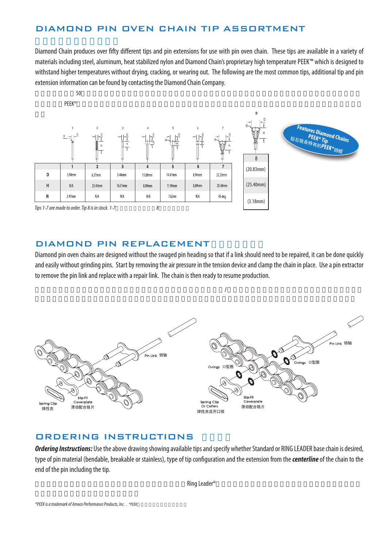### DIAMOND PIN OVEN CHAIN TIP ASSORTMENT

Diamond Chain produces over fifty different tips and pin extensions for use with pin oven chain. These tips are available in a variety of materials including steel, aluminum, heat stabilized nylon and Diamond Chain's proprietary high temperature PEEK™ which is designed to withstand higher temperatures without drying, cracking, or wearing out. The following are the most common tips, additional tip and pin extension information can be found by contacting the Diamond Chain Company.



### DIAMOND PIN REPLACEMENT

Diamond pin oven chains are designed without the swaged pin heading so that if a link should need to be repaired, it can be done quickly and easily without grinding pins. Start by removing the air pressure in the tension device and clamp the chain in place. Use a pin extractor to remove the pin link and replace with a repair link. The chain is then ready to resume production.

 $\ell$ 



### ORDERING INSTRUCTIONS

*Ordering Instructions:* Use the above drawing showing available tips and specify whether Standard or RING LEADER base chain is desired, type of pin material (bendable, breakable or stainless), type of tip configuration and the extension from the *centerline* of the chain to the end of the pin including the tip.

 $\mathsf{Ring}\ \mathsf{Leader}^\circ$